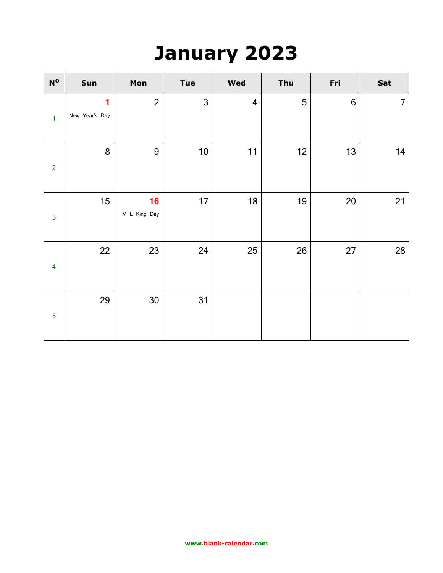### **January 2023**

| $\mathbf{N}^{\mathsf{O}}$ | Sun                 | Mon                | <b>Tue</b>   | Wed                     | Thu | Fri              | Sat            |
|---------------------------|---------------------|--------------------|--------------|-------------------------|-----|------------------|----------------|
| $\mathbf{1}$              | 1<br>New Year's Day | $\overline{2}$     | $\mathbf{3}$ | $\overline{\mathbf{4}}$ | 5   | $\boldsymbol{6}$ | $\overline{7}$ |
| $\overline{2}$            | 8                   | $9\,$              | 10           | 11                      | 12  | 13               | 14             |
| $\overline{3}$            | 15                  | 16<br>M L King Day | 17           | 18                      | 19  | 20               | 21             |
| $\overline{\mathbf{4}}$   | 22                  | 23                 | 24           | 25                      | 26  | 27               | 28             |
| $\overline{5}$            | 29                  | 30                 | 31           |                         |     |                  |                |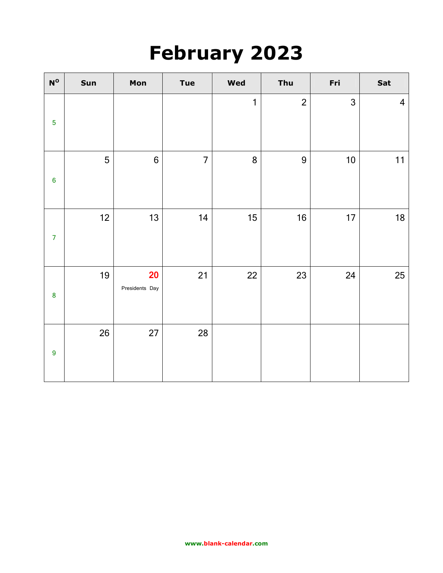### **February 2023**

| $\mathbf{N}^{\mathsf{O}}$ | Sun | Mon                  | <b>Tue</b>     | Wed          | Thu            | Fri  | Sat                     |
|---------------------------|-----|----------------------|----------------|--------------|----------------|------|-------------------------|
| $\overline{5}$            |     |                      |                | $\mathbf{1}$ | $\overline{2}$ | 3    | $\overline{\mathbf{4}}$ |
| $\bf 6$                   | 5   | $6\phantom{1}$       | $\overline{7}$ | $\bf 8$      | 9              | $10$ | 11                      |
| $\overline{7}$            | 12  | 13                   | 14             | 15           | 16             | 17   | 18                      |
| $\pmb{8}$                 | 19  | 20<br>Presidents Day | 21             | 22           | 23             | 24   | 25                      |
| $\boldsymbol{9}$          | 26  | 27                   | 28             |              |                |      |                         |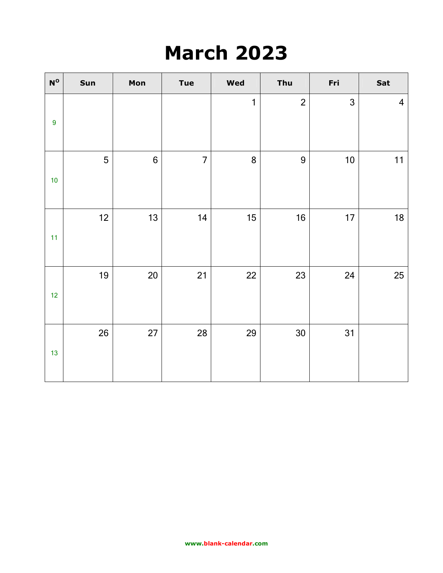## **March 2023**

| ${\bf N^O}$      | Sun  | Mon              | <b>Tue</b>     | <b>Wed</b>   | Thu            | Fri          | Sat                     |
|------------------|------|------------------|----------------|--------------|----------------|--------------|-------------------------|
| $\boldsymbol{9}$ |      |                  |                | $\mathbf{1}$ | $\overline{2}$ | $\mathbf{3}$ | $\overline{\mathbf{4}}$ |
| $10$             | 5    | $\boldsymbol{6}$ | $\overline{7}$ | 8            | 9              | $10$         | 11                      |
| 11               | $12$ | 13               | 14             | 15           | 16             | 17           | 18                      |
| 12               | 19   | $20\,$           | 21             | 22           | 23             | 24           | 25                      |
| 13               | 26   | 27               | 28             | 29           | 30             | 31           |                         |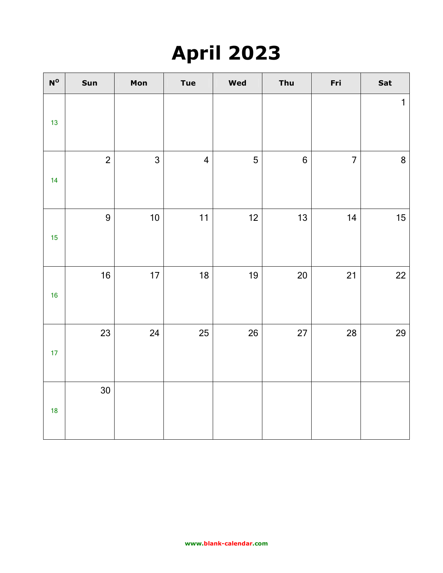# **April 2023**

| $\mathbf{N}^{\mathbf{O}}$ | Sun            | Mon          | <b>Tue</b>              | Wed            | Thu              | Fri            | Sat          |
|---------------------------|----------------|--------------|-------------------------|----------------|------------------|----------------|--------------|
| 13                        |                |              |                         |                |                  |                | $\mathbf{1}$ |
| 14                        | $\overline{2}$ | $\mathbf{3}$ | $\overline{\mathbf{4}}$ | $\overline{5}$ | $\boldsymbol{6}$ | $\overline{7}$ | $\bf 8$      |
| 15                        | 9              | $10$         | 11                      | $12$           | 13               | 14             | $15\,$       |
| 16                        | 16             | $17$         | $18$                    | 19             | 20               | 21             | $22\,$       |
| 17                        | 23             | 24           | 25                      | 26             | 27               | 28             | 29           |
| 18                        | 30             |              |                         |                |                  |                |              |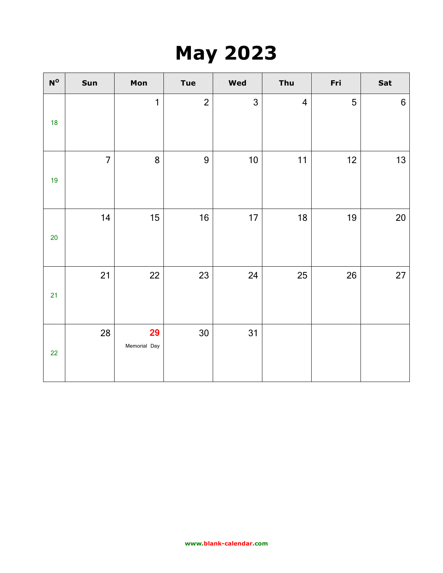## **May 2023**

| $\mathbf{N}^{\mathsf{O}}$ | Sun            | Mon                | Tue            | <b>Wed</b>   | Thu                     | Fri | Sat             |
|---------------------------|----------------|--------------------|----------------|--------------|-------------------------|-----|-----------------|
| 18                        |                | $\mathbf{1}$       | $\overline{2}$ | $\mathbf{3}$ | $\overline{\mathbf{4}}$ | 5   | $6\phantom{1}6$ |
| 19                        | $\overline{7}$ | 8                  | 9              | $10$         | 11                      | 12  | 13              |
| $20\,$                    | 14             | 15                 | 16             | 17           | 18                      | 19  | $20\,$          |
| 21                        | 21             | 22                 | 23             | 24           | 25                      | 26  | 27              |
| 22                        | 28             | 29<br>Memorial Day | 30             | 31           |                         |     |                 |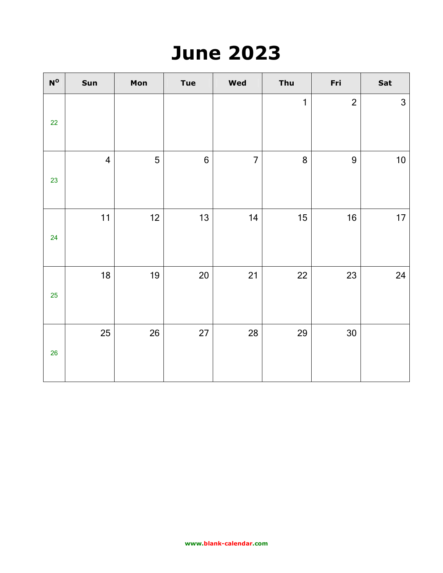## **June 2023**

| $\mathbf{N}^{\mathbf{O}}$ | Sun            | Mon | <b>Tue</b>     | Wed            | Thu          | Fri            | Sat          |
|---------------------------|----------------|-----|----------------|----------------|--------------|----------------|--------------|
| 22                        |                |     |                |                | $\mathbf{1}$ | $\overline{2}$ | $\mathbf{3}$ |
| 23                        | $\overline{4}$ | 5   | $6\phantom{a}$ | $\overline{7}$ | 8            | 9              | $10$         |
| 24                        | 11             | 12  | 13             | 14             | 15           | 16             | 17           |
| 25                        | 18             | 19  | 20             | 21             | 22           | 23             | 24           |
| 26                        | 25             | 26  | 27             | 28             | 29           | $30\,$         |              |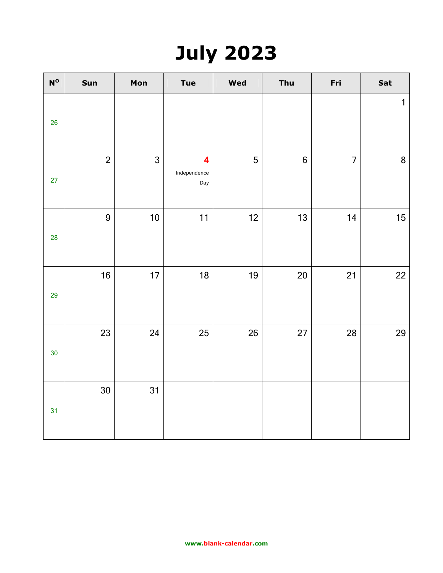# **July 2023**

| $\mathbf{N}^{\mathbf{O}}$ | Sun            | Mon          | <b>Tue</b>               | Wed | Thu              | Fri            | Sat         |
|---------------------------|----------------|--------------|--------------------------|-----|------------------|----------------|-------------|
| 26                        |                |              |                          |     |                  |                | $\mathbf 1$ |
| 27                        | $\overline{2}$ | $\mathbf{3}$ | 4<br>Independence<br>Day | 5   | $\boldsymbol{6}$ | $\overline{7}$ | $\bf 8$     |
| 28                        | $\overline{9}$ | $10$         | 11                       | 12  | 13               | 14             | $15\,$      |
| 29                        | 16             | 17           | 18                       | 19  | 20               | 21             | 22          |
| 30                        | 23             | 24           | 25                       | 26  | 27               | 28             | 29          |
| 31                        | 30             | 31           |                          |     |                  |                |             |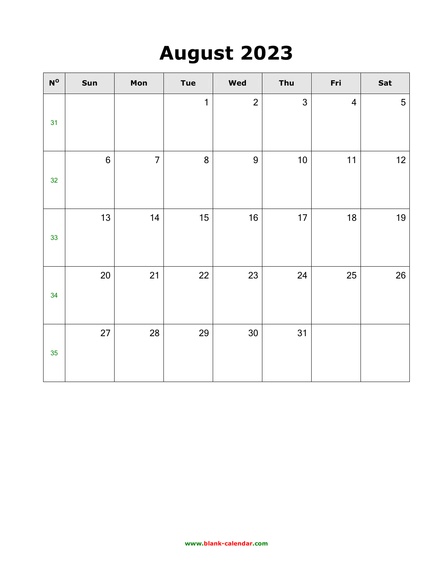## **August 2023**

| $\mathbf{N}^{\mathsf{O}}$ | Sun              | Mon            | <b>Tue</b>   | Wed            | Thu  | Fri                     | Sat |
|---------------------------|------------------|----------------|--------------|----------------|------|-------------------------|-----|
| 31                        |                  |                | $\mathbf{1}$ | $\overline{2}$ | 3    | $\overline{\mathbf{4}}$ | 5   |
| 32                        | $\boldsymbol{6}$ | $\overline{7}$ | 8            | 9              | $10$ | 11                      | 12  |
| 33                        | 13               | 14             | 15           | 16             | 17   | 18                      | 19  |
| 34                        | 20               | 21             | 22           | 23             | 24   | 25                      | 26  |
| 35                        | 27               | 28             | 29           | 30             | 31   |                         |     |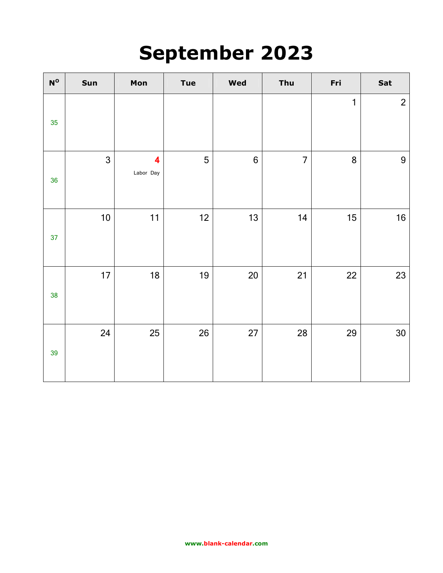## **September 2023**

| $\mathsf{N}^\mathsf{o}$ | Sun  | Mon                                  | <b>Tue</b> | Wed            | Thu            | Fri | Sat            |
|-------------------------|------|--------------------------------------|------------|----------------|----------------|-----|----------------|
| 35                      |      |                                      |            |                |                | 1   | $\overline{2}$ |
| 36                      | 3    | $\overline{\mathbf{4}}$<br>Labor Day | 5          | $6\phantom{a}$ | $\overline{7}$ | 8   | 9              |
| 37                      | $10$ | 11                                   | 12         | 13             | 14             | 15  | 16             |
| 38                      | 17   | 18                                   | 19         | $20\,$         | 21             | 22  | 23             |
| 39                      | 24   | 25                                   | 26         | 27             | 28             | 29  | $30\,$         |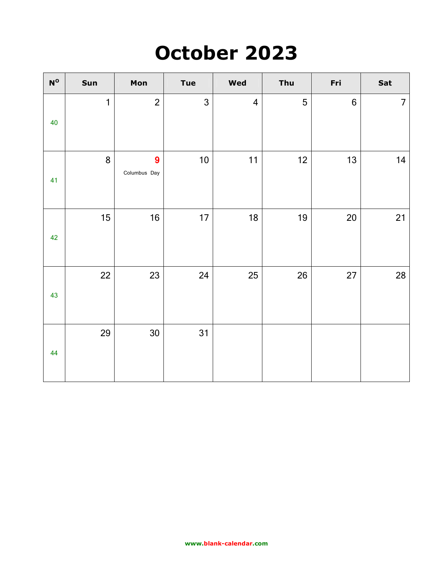### **October 2023**

| $\mathsf{N}^\mathsf{o}$ | Sun | Mon               | <b>Tue</b> | <b>Wed</b>              | Thu | Fri             | Sat            |
|-------------------------|-----|-------------------|------------|-------------------------|-----|-----------------|----------------|
| 40                      | 1   | $\overline{2}$    | 3          | $\overline{\mathbf{4}}$ | 5   | $6\phantom{1}6$ | $\overline{7}$ |
| 41                      | 8   | 9<br>Columbus Day | $10$       | 11                      | 12  | 13              | 14             |
| 42                      | 15  | 16                | 17         | 18                      | 19  | 20              | 21             |
| 43                      | 22  | 23                | 24         | 25                      | 26  | 27              | 28             |
| 44                      | 29  | 30                | 31         |                         |     |                 |                |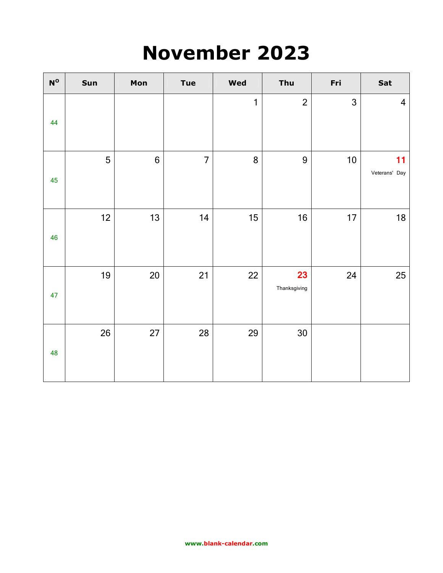### **November 2023**

| $\mathsf{N}^\mathsf{o}$ | Sun | Mon              | <b>Tue</b>     | <b>Wed</b> | Thu                | Fri  | Sat                     |
|-------------------------|-----|------------------|----------------|------------|--------------------|------|-------------------------|
| 44                      |     |                  |                | 1          | $\overline{2}$     | 3    | $\overline{\mathbf{4}}$ |
| 45                      | 5   | $\boldsymbol{6}$ | $\overline{7}$ | 8          | 9                  | $10$ | 11<br>Veterans' Day     |
| 46                      | 12  | 13               | 14             | 15         | 16                 | 17   | 18                      |
| 47                      | 19  | 20               | 21             | 22         | 23<br>Thanksgiving | 24   | 25                      |
| 48                      | 26  | 27               | 28             | 29         | 30                 |      |                         |